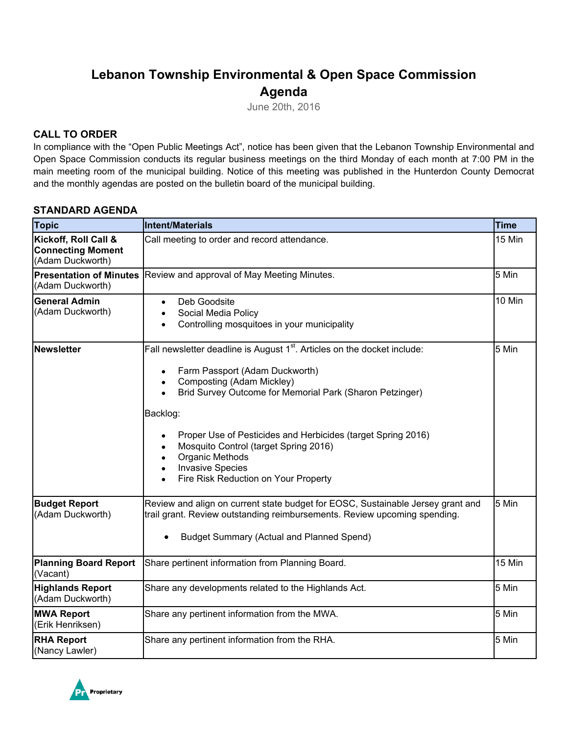# **Lebanon Township Environmental & Open Space Commission Agenda**

June 20th, 2016

### **CALL TO ORDER**

In compliance with the "Open Public Meetings Act", notice has been given that the Lebanon Township Environmental and Open Space Commission conducts its regular business meetings on the third Monday of each month at 7:00 PM in the main meeting room of the municipal building. Notice of this meeting was published in the Hunterdon County Democrat and the monthly agendas are posted on the bulletin board of the municipal building.

### **STANDARD AGENDA**

| <b>Topic</b>                                                         | Intent/Materials                                                                                                                                                                                                                                                                                                                                                                                                                                                         | <b>Time</b> |
|----------------------------------------------------------------------|--------------------------------------------------------------------------------------------------------------------------------------------------------------------------------------------------------------------------------------------------------------------------------------------------------------------------------------------------------------------------------------------------------------------------------------------------------------------------|-------------|
| Kickoff, Roll Call &<br><b>Connecting Moment</b><br>(Adam Duckworth) | Call meeting to order and record attendance.                                                                                                                                                                                                                                                                                                                                                                                                                             | 15 Min      |
| <b>Presentation of Minutes</b><br>(Adam Duckworth)                   | Review and approval of May Meeting Minutes.                                                                                                                                                                                                                                                                                                                                                                                                                              | 5 Min       |
| <b>General Admin</b><br>(Adam Duckworth)                             | Deb Goodsite<br>$\bullet$<br>Social Media Policy<br>Controlling mosquitoes in your municipality                                                                                                                                                                                                                                                                                                                                                                          | 10 Min      |
| Newsletter                                                           | Fall newsletter deadline is August 1 <sup>st</sup> . Articles on the docket include:<br>Farm Passport (Adam Duckworth)<br>$\bullet$<br>Composting (Adam Mickley)<br>$\bullet$<br>Brid Survey Outcome for Memorial Park (Sharon Petzinger)<br>Backlog:<br>Proper Use of Pesticides and Herbicides (target Spring 2016)<br>Mosquito Control (target Spring 2016)<br><b>Organic Methods</b><br><b>Invasive Species</b><br>$\bullet$<br>Fire Risk Reduction on Your Property | 5 Min       |
| <b>Budget Report</b><br>(Adam Duckworth)                             | Review and align on current state budget for EOSC, Sustainable Jersey grant and<br>trail grant. Review outstanding reimbursements. Review upcoming spending.<br><b>Budget Summary (Actual and Planned Spend)</b>                                                                                                                                                                                                                                                         | 5 Min       |
| <b>Planning Board Report</b><br>(Vacant)                             | Share pertinent information from Planning Board.                                                                                                                                                                                                                                                                                                                                                                                                                         | 15 Min      |
| <b>Highlands Report</b><br>(Adam Duckworth)                          | Share any developments related to the Highlands Act.                                                                                                                                                                                                                                                                                                                                                                                                                     | 5 Min       |
| <b>MWA Report</b><br>(Erik Henriksen)                                | Share any pertinent information from the MWA.                                                                                                                                                                                                                                                                                                                                                                                                                            | 5 Min       |
| <b>RHA Report</b><br>(Nancy Lawler)                                  | Share any pertinent information from the RHA.                                                                                                                                                                                                                                                                                                                                                                                                                            | 5 Min       |

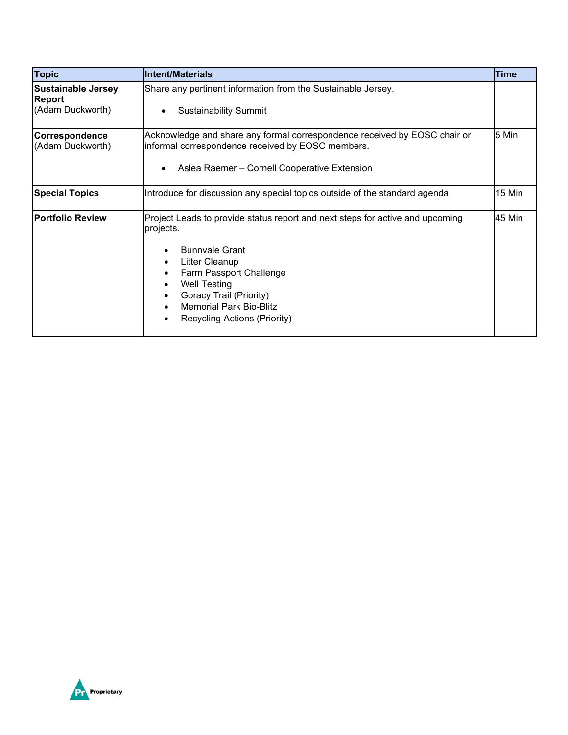| <b>Topic</b>                                                   | <b>IIntent/Materials</b>                                                                                                                                                                                                                                                             | <b>Time</b> |
|----------------------------------------------------------------|--------------------------------------------------------------------------------------------------------------------------------------------------------------------------------------------------------------------------------------------------------------------------------------|-------------|
| <b>Sustainable Jersey</b><br><b>Report</b><br>(Adam Duckworth) | Share any pertinent information from the Sustainable Jersey.<br><b>Sustainability Summit</b>                                                                                                                                                                                         |             |
| <b>Correspondence</b><br>(Adam Duckworth)                      | Acknowledge and share any formal correspondence received by EOSC chair or<br>informal correspondence received by EOSC members.<br>Aslea Raemer - Cornell Cooperative Extension<br>$\bullet$                                                                                          | 5 Min       |
| <b>Special Topics</b>                                          | Introduce for discussion any special topics outside of the standard agenda.                                                                                                                                                                                                          | 15 Min      |
| <b>Portfolio Review</b>                                        | Project Leads to provide status report and next steps for active and upcoming<br>projects.<br><b>Bunnvale Grant</b><br>Litter Cleanup<br>Farm Passport Challenge<br><b>Well Testing</b><br>Goracy Trail (Priority)<br><b>Memorial Park Bio-Blitz</b><br>Recycling Actions (Priority) | 45 Min      |

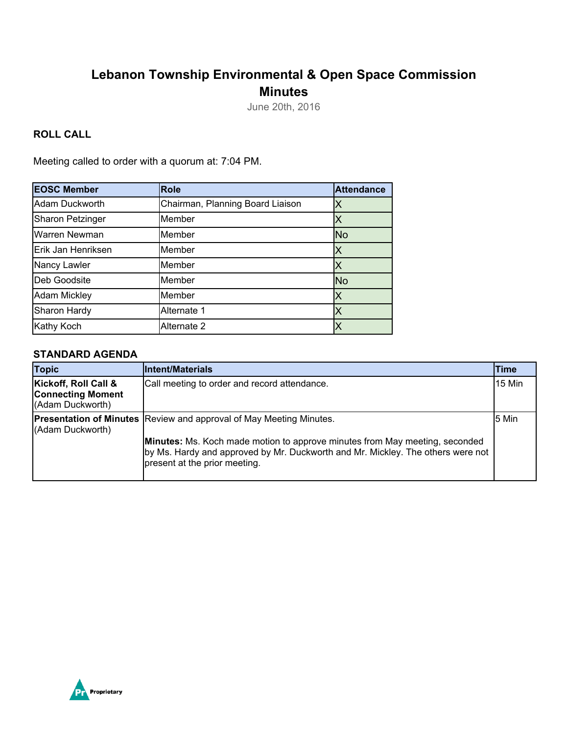# **Lebanon Township Environmental & Open Space Commission Minutes**

June 20th, 2016

## **ROLL CALL**

Meeting called to order with a quorum at: 7:04 PM.

| <b>EOSC Member</b>      | <b>Role</b>                      | <b>Attendance</b> |
|-------------------------|----------------------------------|-------------------|
| Adam Duckworth          | Chairman, Planning Board Liaison |                   |
| <b>Sharon Petzinger</b> | Member                           |                   |
| Warren Newman           | Member                           | <b>No</b>         |
| Erik Jan Henriksen      | Member                           | Χ                 |
| Nancy Lawler            | Member                           |                   |
| Deb Goodsite            | Member                           | <b>No</b>         |
| <b>Adam Mickley</b>     | Member                           |                   |
| Sharon Hardy            | Alternate 1                      |                   |
| Kathy Koch              | Alternate 2                      |                   |

#### **STANDARD AGENDA**

| <b>Topic</b>                                                         | Intent/Materials                                                                                                                                                                                                                                                                     | <b>Time</b> |
|----------------------------------------------------------------------|--------------------------------------------------------------------------------------------------------------------------------------------------------------------------------------------------------------------------------------------------------------------------------------|-------------|
| Kickoff, Roll Call &<br><b>Connecting Moment</b><br>(Adam Duckworth) | Call meeting to order and record attendance.                                                                                                                                                                                                                                         | 15 Min      |
| (Adam Duckworth)                                                     | <b>Presentation of Minutes Review and approval of May Meeting Minutes.</b><br><b>Minutes:</b> Ms. Koch made motion to approve minutes from May meeting, seconded<br>by Ms. Hardy and approved by Mr. Duckworth and Mr. Mickley. The others were not<br>present at the prior meeting. | 5 Min       |

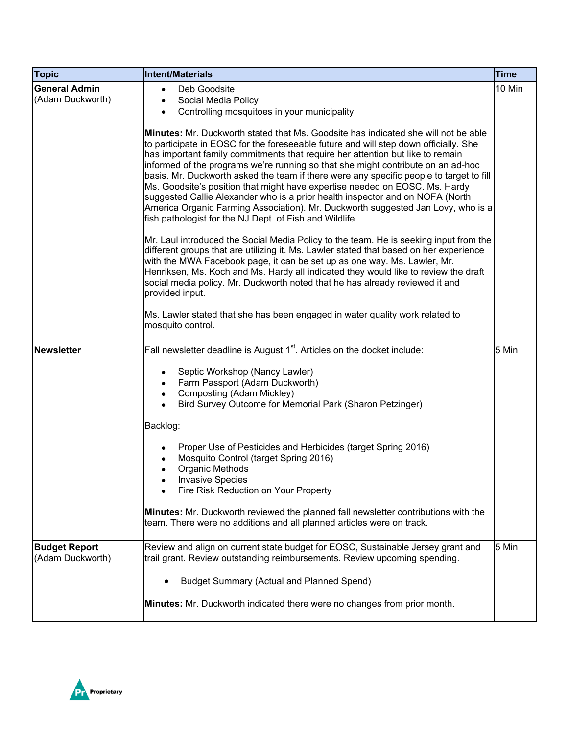| <b>Topic</b>                             | <b>Intent/Materials</b>                                                                                                                                                                                                                                                                                                                                                                                                                                                                                                                                                                                                                                                                                                                                           | <b>Time</b> |
|------------------------------------------|-------------------------------------------------------------------------------------------------------------------------------------------------------------------------------------------------------------------------------------------------------------------------------------------------------------------------------------------------------------------------------------------------------------------------------------------------------------------------------------------------------------------------------------------------------------------------------------------------------------------------------------------------------------------------------------------------------------------------------------------------------------------|-------------|
| <b>General Admin</b><br>(Adam Duckworth) | Deb Goodsite<br>$\bullet$<br>Social Media Policy<br>$\bullet$<br>Controlling mosquitoes in your municipality<br>$\bullet$                                                                                                                                                                                                                                                                                                                                                                                                                                                                                                                                                                                                                                         | 10 Min      |
|                                          | <b>Minutes:</b> Mr. Duckworth stated that Ms. Goodsite has indicated she will not be able<br>to participate in EOSC for the foreseeable future and will step down officially. She<br>has important family commitments that require her attention but like to remain<br>informed of the programs we're running so that she might contribute on an ad-hoc<br>basis. Mr. Duckworth asked the team if there were any specific people to target to fill<br>Ms. Goodsite's position that might have expertise needed on EOSC. Ms. Hardy<br>suggested Callie Alexander who is a prior health inspector and on NOFA (North<br>America Organic Farming Association). Mr. Duckworth suggested Jan Lovy, who is a<br>fish pathologist for the NJ Dept. of Fish and Wildlife. |             |
|                                          | Mr. Laul introduced the Social Media Policy to the team. He is seeking input from the<br>different groups that are utilizing it. Ms. Lawler stated that based on her experience<br>with the MWA Facebook page, it can be set up as one way. Ms. Lawler, Mr.<br>Henriksen, Ms. Koch and Ms. Hardy all indicated they would like to review the draft<br>social media policy. Mr. Duckworth noted that he has already reviewed it and<br>provided input.                                                                                                                                                                                                                                                                                                             |             |
|                                          | Ms. Lawler stated that she has been engaged in water quality work related to<br>mosquito control.                                                                                                                                                                                                                                                                                                                                                                                                                                                                                                                                                                                                                                                                 |             |
| <b>Newsletter</b>                        | Fall newsletter deadline is August 1 <sup>st</sup> . Articles on the docket include:                                                                                                                                                                                                                                                                                                                                                                                                                                                                                                                                                                                                                                                                              | 5 Min       |
|                                          | Septic Workshop (Nancy Lawler)<br>Farm Passport (Adam Duckworth)<br>Composting (Adam Mickley)<br>Bird Survey Outcome for Memorial Park (Sharon Petzinger)                                                                                                                                                                                                                                                                                                                                                                                                                                                                                                                                                                                                         |             |
|                                          | Backlog:                                                                                                                                                                                                                                                                                                                                                                                                                                                                                                                                                                                                                                                                                                                                                          |             |
|                                          | Proper Use of Pesticides and Herbicides (target Spring 2016)<br>Mosquito Control (target Spring 2016)<br>Organic Methods<br><b>Invasive Species</b><br>Fire Risk Reduction on Your Property<br>$\bullet$                                                                                                                                                                                                                                                                                                                                                                                                                                                                                                                                                          |             |
|                                          | Minutes: Mr. Duckworth reviewed the planned fall newsletter contributions with the<br>team. There were no additions and all planned articles were on track.                                                                                                                                                                                                                                                                                                                                                                                                                                                                                                                                                                                                       |             |
| <b>Budget Report</b><br>(Adam Duckworth) | Review and align on current state budget for EOSC, Sustainable Jersey grant and<br>trail grant. Review outstanding reimbursements. Review upcoming spending.                                                                                                                                                                                                                                                                                                                                                                                                                                                                                                                                                                                                      | 5 Min       |
|                                          | <b>Budget Summary (Actual and Planned Spend)</b>                                                                                                                                                                                                                                                                                                                                                                                                                                                                                                                                                                                                                                                                                                                  |             |
|                                          | Minutes: Mr. Duckworth indicated there were no changes from prior month.                                                                                                                                                                                                                                                                                                                                                                                                                                                                                                                                                                                                                                                                                          |             |

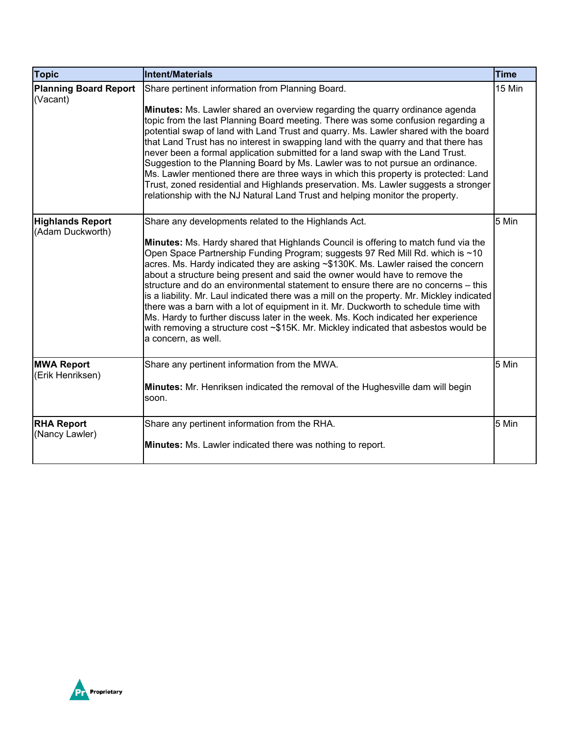| <b>Topic</b>                                | Intent/Materials                                                                                                                                                                                                                                                                                                                                                                                                                                                                                                                                                                                                                                                                                                                                                                                                                                                              | <b>Time</b> |
|---------------------------------------------|-------------------------------------------------------------------------------------------------------------------------------------------------------------------------------------------------------------------------------------------------------------------------------------------------------------------------------------------------------------------------------------------------------------------------------------------------------------------------------------------------------------------------------------------------------------------------------------------------------------------------------------------------------------------------------------------------------------------------------------------------------------------------------------------------------------------------------------------------------------------------------|-------------|
| <b>Planning Board Report</b><br>(Vacant)    | Share pertinent information from Planning Board.<br>Minutes: Ms. Lawler shared an overview regarding the quarry ordinance agenda<br>topic from the last Planning Board meeting. There was some confusion regarding a<br>potential swap of land with Land Trust and quarry. Ms. Lawler shared with the board<br>that Land Trust has no interest in swapping land with the quarry and that there has<br>never been a formal application submitted for a land swap with the Land Trust.<br>Suggestion to the Planning Board by Ms. Lawler was to not pursue an ordinance.<br>Ms. Lawler mentioned there are three ways in which this property is protected: Land<br>Trust, zoned residential and Highlands preservation. Ms. Lawler suggests a stronger<br>relationship with the NJ Natural Land Trust and helping monitor the property.                                         | 15 Min      |
| <b>Highlands Report</b><br>(Adam Duckworth) | Share any developments related to the Highlands Act.<br>Minutes: Ms. Hardy shared that Highlands Council is offering to match fund via the<br>Open Space Partnership Funding Program; suggests 97 Red Mill Rd. which is ~10<br>acres. Ms. Hardy indicated they are asking ~\$130K. Ms. Lawler raised the concern<br>about a structure being present and said the owner would have to remove the<br>structure and do an environmental statement to ensure there are no concerns – this<br>is a liability. Mr. Laul indicated there was a mill on the property. Mr. Mickley indicated<br>there was a barn with a lot of equipment in it. Mr. Duckworth to schedule time with<br>Ms. Hardy to further discuss later in the week. Ms. Koch indicated her experience<br>with removing a structure cost ~\$15K. Mr. Mickley indicated that asbestos would be<br>a concern, as well. | 5 Min       |
| <b>MWA Report</b><br>(Erik Henriksen)       | Share any pertinent information from the MWA.<br>Minutes: Mr. Henriksen indicated the removal of the Hughesville dam will begin<br>soon.                                                                                                                                                                                                                                                                                                                                                                                                                                                                                                                                                                                                                                                                                                                                      | 5 Min       |
| <b>RHA Report</b><br>(Nancy Lawler)         | Share any pertinent information from the RHA.<br><b>Minutes:</b> Ms. Lawler indicated there was nothing to report.                                                                                                                                                                                                                                                                                                                                                                                                                                                                                                                                                                                                                                                                                                                                                            | 5 Min       |

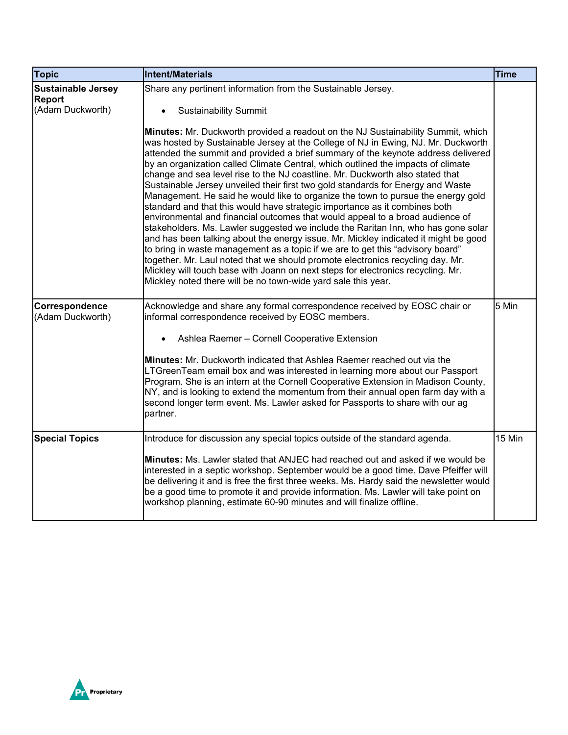| <b>Topic</b>                                                   | <b>Intent/Materials</b>                                                                                                                                                                                                                                                                                                                                                                                                                                                                                                                                                                                                                                                                                                                                                                                                                                                                                                                                                                                                                                                                                                                                                                                                                                                   | <b>Time</b> |
|----------------------------------------------------------------|---------------------------------------------------------------------------------------------------------------------------------------------------------------------------------------------------------------------------------------------------------------------------------------------------------------------------------------------------------------------------------------------------------------------------------------------------------------------------------------------------------------------------------------------------------------------------------------------------------------------------------------------------------------------------------------------------------------------------------------------------------------------------------------------------------------------------------------------------------------------------------------------------------------------------------------------------------------------------------------------------------------------------------------------------------------------------------------------------------------------------------------------------------------------------------------------------------------------------------------------------------------------------|-------------|
| <b>Sustainable Jersey</b><br><b>Report</b><br>(Adam Duckworth) | Share any pertinent information from the Sustainable Jersey.<br><b>Sustainability Summit</b>                                                                                                                                                                                                                                                                                                                                                                                                                                                                                                                                                                                                                                                                                                                                                                                                                                                                                                                                                                                                                                                                                                                                                                              |             |
|                                                                | Minutes: Mr. Duckworth provided a readout on the NJ Sustainability Summit, which<br>was hosted by Sustainable Jersey at the College of NJ in Ewing, NJ. Mr. Duckworth<br>attended the summit and provided a brief summary of the keynote address delivered<br>by an organization called Climate Central, which outlined the impacts of climate<br>change and sea level rise to the NJ coastline. Mr. Duckworth also stated that<br>Sustainable Jersey unveiled their first two gold standards for Energy and Waste<br>Management. He said he would like to organize the town to pursue the energy gold<br>standard and that this would have strategic importance as it combines both<br>environmental and financial outcomes that would appeal to a broad audience of<br>stakeholders. Ms. Lawler suggested we include the Raritan Inn, who has gone solar<br>and has been talking about the energy issue. Mr. Mickley indicated it might be good<br>to bring in waste management as a topic if we are to get this "advisory board"<br>together. Mr. Laul noted that we should promote electronics recycling day. Mr.<br>Mickley will touch base with Joann on next steps for electronics recycling. Mr.<br>Mickley noted there will be no town-wide yard sale this year. |             |
| Correspondence<br>(Adam Duckworth)                             | Acknowledge and share any formal correspondence received by EOSC chair or<br>informal correspondence received by EOSC members.                                                                                                                                                                                                                                                                                                                                                                                                                                                                                                                                                                                                                                                                                                                                                                                                                                                                                                                                                                                                                                                                                                                                            | 5 Min       |
|                                                                | Ashlea Raemer - Cornell Cooperative Extension<br>Minutes: Mr. Duckworth indicated that Ashlea Raemer reached out via the<br>LTGreenTeam email box and was interested in learning more about our Passport<br>Program. She is an intern at the Cornell Cooperative Extension in Madison County,<br>NY, and is looking to extend the momentum from their annual open farm day with a<br>second longer term event. Ms. Lawler asked for Passports to share with our ag<br>partner.                                                                                                                                                                                                                                                                                                                                                                                                                                                                                                                                                                                                                                                                                                                                                                                            |             |
| <b>Special Topics</b>                                          | Introduce for discussion any special topics outside of the standard agenda.<br>Minutes: Ms. Lawler stated that ANJEC had reached out and asked if we would be<br>interested in a septic workshop. September would be a good time. Dave Pfeiffer will<br>be delivering it and is free the first three weeks. Ms. Hardy said the newsletter would<br>be a good time to promote it and provide information. Ms. Lawler will take point on<br>workshop planning, estimate 60-90 minutes and will finalize offline.                                                                                                                                                                                                                                                                                                                                                                                                                                                                                                                                                                                                                                                                                                                                                            | 15 Min      |